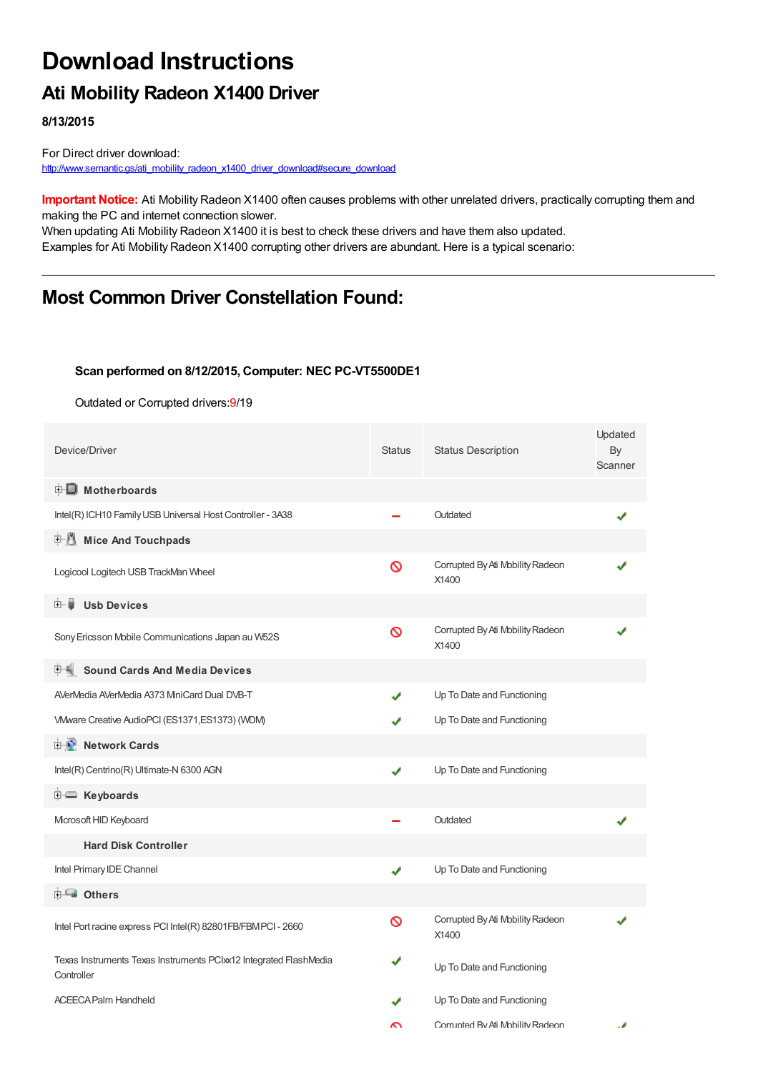# **Download Instructions**

## **Ati Mobility Radeon X1400 Driver**

**8/13/2015**

For Direct driver download: [http://www.semantic.gs/ati\\_mobility\\_radeon\\_x1400\\_driver\\_download#secure\\_download](http://www.semantic.gs/ati_mobility_radeon_x1400_driver_download#secure_download)

**Important Notice:** Ati Mobility Radeon X1400 often causes problems with other unrelated drivers, practically corrupting them and making the PC and internet connection slower.

When updating Ati Mobility Radeon X1400 it is best to check these drivers and have them also updated. Examples for Ati Mobility Radeon X1400 corrupting other drivers are abundant. Here is a typical scenario:

### **Most Common Driver Constellation Found:**

#### **Scan performed on 8/12/2015, Computer: NEC PC-VT5500DE1**

Outdated or Corrupted drivers:9/19

| Device/Driver                                                                   | <b>Status</b> | <b>Status Description</b>                 | Updated<br>By<br>Scanner |  |
|---------------------------------------------------------------------------------|---------------|-------------------------------------------|--------------------------|--|
| <b>E</b> Motherboards                                                           |               |                                           |                          |  |
| Intel(R) ICH10 Family USB Universal Host Controller - 3A38                      |               | Outdated                                  |                          |  |
| 田川<br><b>Mice And Touchpads</b>                                                 |               |                                           |                          |  |
| Logicool Logitech USB TrackMan Wheel                                            | 0             | Corrupted By Ati Mobility Radeon<br>X1400 |                          |  |
| <b>Ush Devices</b><br>田一島                                                       |               |                                           |                          |  |
| Sony Ericsson Mobile Communications Japan au W52S                               | Ø             | Corrupted By Ati Mobility Radeon<br>X1400 |                          |  |
| <b>Sound Cards And Media Devices</b>                                            |               |                                           |                          |  |
| AVerMedia AVerMedia A373 MiniCard Dual DVB-T                                    | ✔             | Up To Date and Functioning                |                          |  |
| VMware Creative AudioPCI (ES1371, ES1373) (WDM)                                 |               | Up To Date and Functioning                |                          |  |
| <b>E-D</b> Network Cards                                                        |               |                                           |                          |  |
| Intel(R) Centrino(R) Ultimate-N 6300 AGN                                        |               | Up To Date and Functioning                |                          |  |
| E Keyboards                                                                     |               |                                           |                          |  |
| Microsoft HID Keyboard                                                          |               | Outdated                                  |                          |  |
| <b>Hard Disk Controller</b>                                                     |               |                                           |                          |  |
| Intel Primary IDE Channel                                                       | ✔             | Up To Date and Functioning                |                          |  |
| <b>E</b> Others                                                                 |               |                                           |                          |  |
| Intel Port racine express PCI Intel(R) 82801FB/FBMPCI - 2660                    | ര             | Corrupted By Ati Mobility Radeon<br>X1400 |                          |  |
| Texas Instruments Texas Instruments PCIxx12 Integrated FlashMedia<br>Controller |               | Up To Date and Functioning                |                          |  |
| <b>ACEECA Palm Handheld</b>                                                     |               | Up To Date and Functioning                |                          |  |
|                                                                                 | ົ             | Corrunted By Ati Mobility Radeon          | A                        |  |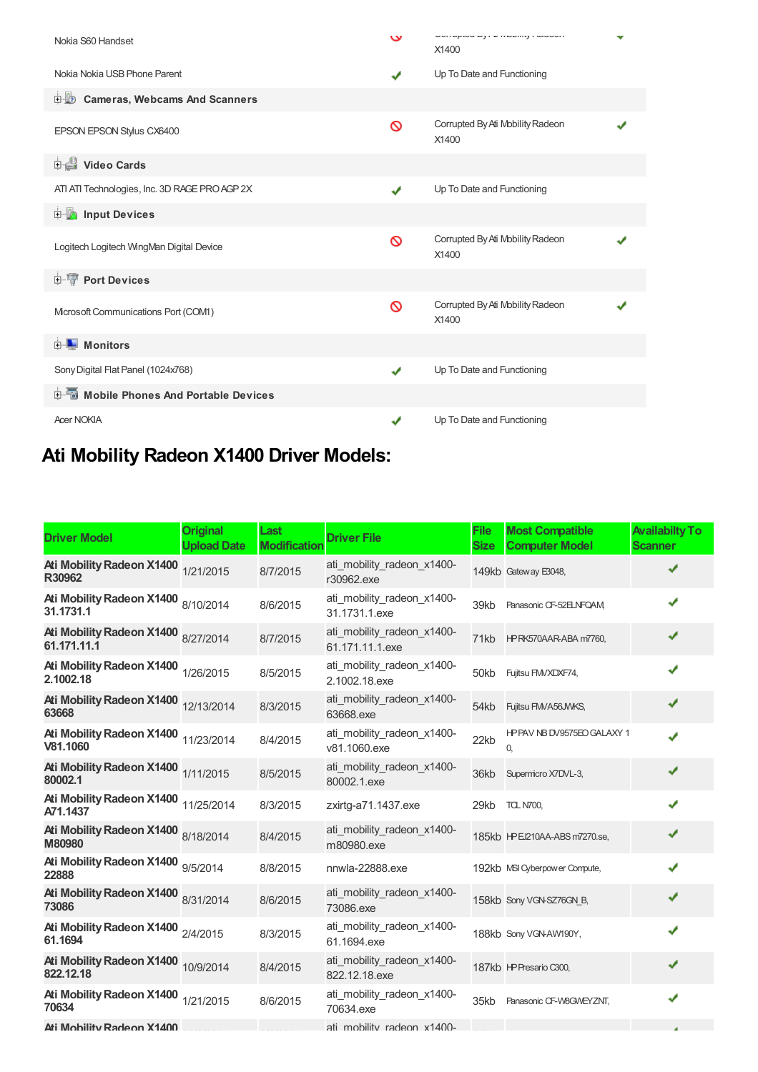| Nokia S60 Handset                             | $\check{}$ | UVITUPIOU DY / N IVIOUIIIIY I MUOUTI<br>X1400 |  |
|-----------------------------------------------|------------|-----------------------------------------------|--|
| Nokia Nokia USB Phone Parent                  | ✔          | Up To Date and Functioning                    |  |
| <b>E-LO</b> Cameras, Webcams And Scanners     |            |                                               |  |
| EPSON EPSON Stylus CX6400                     | ര          | Corrupted By Ati Mobility Radeon<br>X1400     |  |
| Video Cards                                   |            |                                               |  |
| ATI ATI Technologies, Inc. 3D RAGE PRO AGP 2X | ✔          | Up To Date and Functioning                    |  |
| <b>Devices</b> Input Devices                  |            |                                               |  |
| Logitech Logitech WingMan Digital Device      | ᠗          | Corrupted By Ati Mobility Radeon<br>X1400     |  |
| <b>E-TP</b> Port Devices                      |            |                                               |  |
| Microsoft Communications Port (COM1)          | ᠗          | Corrupted By Ati Mobility Radeon<br>X1400     |  |
| <b>E</b> Monitors                             |            |                                               |  |
| Sony Digital Flat Panel (1024x768)            | ✔          | Up To Date and Functioning                    |  |
| <b>E-5</b> Mobile Phones And Portable Devices |            |                                               |  |
| <b>Acer NOKIA</b>                             | ✔          | Up To Date and Functioning                    |  |

# **Ati Mobility Radeon X1400 Driver Models:**

| <b>Driver Model</b>                                | <b>Original</b><br><b>Upload Date</b> | Last<br><b>Modification</b> | <b>Driver File</b>                            | <b>File</b><br><b>Size</b> | <b>Most Compatible</b><br><b>Computer Model</b> | <b>Availabilty To</b><br><b>Scanner</b> |
|----------------------------------------------------|---------------------------------------|-----------------------------|-----------------------------------------------|----------------------------|-------------------------------------------------|-----------------------------------------|
| <b>Ati Mobility Radeon X1400</b><br>R30962         | 1/21/2015                             | 8/7/2015                    | ati mobility radeon x1400-<br>r30962.exe      |                            | 149kb Gateway E3048,                            | ✔                                       |
| Ati Mobility Radeon X1400 8/10/2014<br>31.1731.1   |                                       | 8/6/2015                    | ati mobility radeon x1400-<br>31.1731.1.exe   | 39kb                       | Panasonic CF-52ELNFQAM                          | √                                       |
| Ati Mobility Radeon X1400 8/27/2014<br>61.171.11.1 |                                       | 8/7/2015                    | ati mobility radeon x1400-<br>61.171.11.1.exe |                            | 71kb HPRK570AAR-ABA m7760,                      | ✔                                       |
| Ati Mobility Radeon X1400 1/26/2015<br>2.1002.18   |                                       | 8/5/2015                    | ati mobility radeon x1400-<br>2.1002.18.exe   | 50kb                       | Fujitsu FMVXDXF74,                              | √                                       |
| Ati Mobility Radeon X1400 12/13/2014<br>63668      |                                       | 8/3/2015                    | ati mobility radeon x1400-<br>63668.exe       | 54kb                       | Fujitsu FMVA56JWKS,                             | ✔                                       |
| Ati Mobility Radeon X1400 11/23/2014<br>V81.1060   |                                       | 8/4/2015                    | ati mobility radeon x1400-<br>v81.1060.exe    | 22kb                       | HPPAV NB DV9575EO GALAXY 1<br>0                 | ✔                                       |
| Ati Mobility Radeon X1400 1/11/2015<br>80002.1     |                                       | 8/5/2015                    | ati mobility radeon x1400-<br>80002.1.exe     | 36kb                       | Supermicro X7DVL-3,                             | ✔                                       |
| Ati Mobility Radeon X1400 11/25/2014<br>A71.1437   |                                       | 8/3/2015                    | zxirtg-a71.1437.exe                           | 29kb                       | <b>TCL N700,</b>                                | J                                       |
| Ati Mobility Radeon X1400 8/18/2014<br>M80980      |                                       | 8/4/2015                    | ati mobility radeon x1400-<br>m80980.exe      |                            | 185kb HPEJ210AA-ABS m7270.se,                   | ✔                                       |
| Ati Mobility Radeon X1400 9/5/2014<br>22888        |                                       | 8/8/2015                    | nnwla-22888.exe                               |                            | 192kb MSI Cyberpow er Compute,                  | J                                       |
| Ati Mobility Radeon X1400 8/31/2014<br>73086       |                                       | 8/6/2015                    | ati mobility radeon x1400-<br>73086.exe       |                            | 158kb Sony VGN-SZ76GN B,                        | ✔                                       |
| Ati Mobility Radeon X1400 2/4/2015<br>61.1694      |                                       | 8/3/2015                    | ati mobility radeon x1400-<br>61.1694.exe     |                            | 188kb Sony VGN-AW190Y,                          | ✔                                       |
| Ati Mobility Radeon X1400 10/9/2014<br>822.12.18   |                                       | 8/4/2015                    | ati mobility radeon x1400-<br>822.12.18.exe   |                            | 187kb HPPresario C300,                          | ✔                                       |
| Ati Mobility Radeon X1400 1/21/2015<br>70634       |                                       | 8/6/2015                    | ati mobility radeon x1400-<br>70634.exe       |                            | 35kb Panasonic CF-W8GWEYZNT,                    |                                         |
| Ati Mobility Radeon X1400                          |                                       |                             | ati mobility radeon x1400-                    |                            |                                                 |                                         |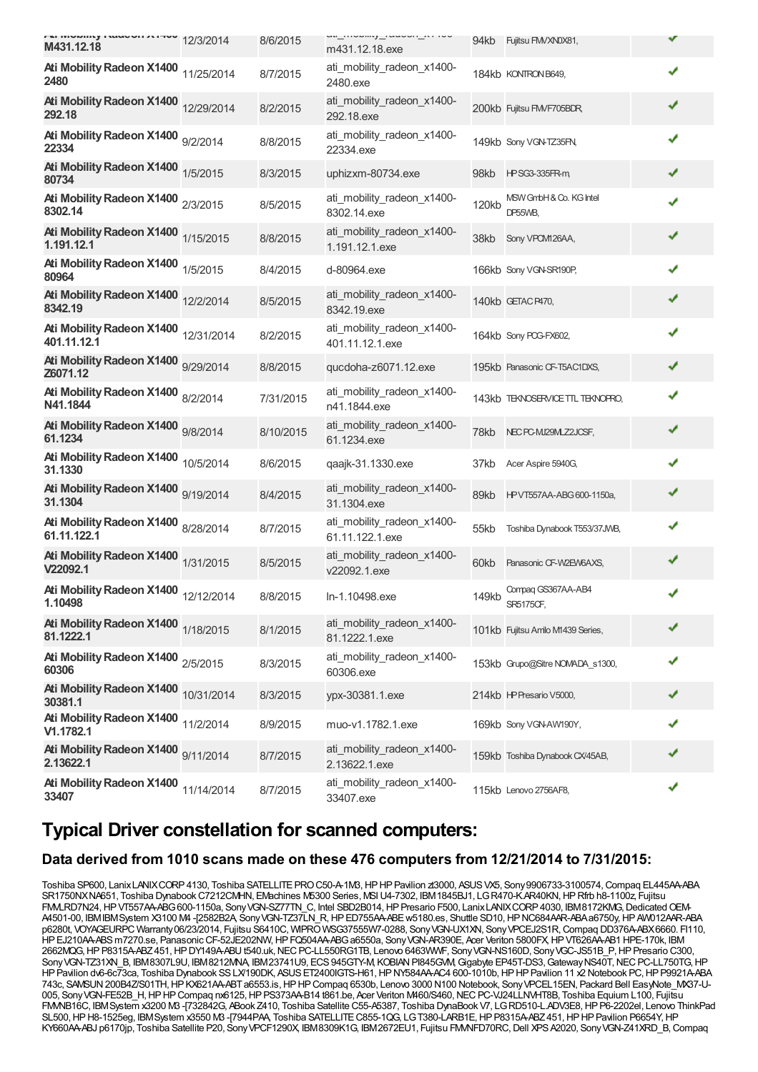| 12/3/2014<br>M431.12.18                             |           | 8/6/2015  | ๛๛๛๛๛๛๛๛๛๛๛๛๛<br>m431.12.18.exe               |       | 94kb Fujitsu FMVXN0X81,            |   |  |
|-----------------------------------------------------|-----------|-----------|-----------------------------------------------|-------|------------------------------------|---|--|
| Ati Mobility Radeon X1400 11/25/2014<br>2480        |           | 8/7/2015  | ati_mobility_radeon_x1400-<br>2480.exe        |       | 184kb KONTRON B649,                | ✔ |  |
| Ati Mobility Radeon X1400 12/29/2014<br>292.18      |           | 8/2/2015  | ati_mobility_radeon_x1400-<br>292.18.exe      |       | 200kb Fujitsu FMVF705BDR,          | ✔ |  |
| Ati Mobility Radeon X1400 9/2/2014<br>22334         |           | 8/8/2015  | ati_mobility_radeon_x1400-<br>22334.exe       |       | 149kb Sony VGN-TZ35FN,             | ✔ |  |
| Ati Mobility Radeon X1400 1/5/2015<br>80734         |           | 8/3/2015  | uphizxm-80734.exe                             | 98kb  | <b>HPSG3-335FR-m</b>               | ✔ |  |
| Ati Mobility Radeon X1400 2/3/2015<br>8302.14       |           | 8/5/2015  | ati_mobility_radeon_x1400-<br>8302.14.exe     | 120kb | MSW GmbH & Co. KG Intel<br>DP55WB. | ✔ |  |
| Ati Mobility Radeon X1400 1/15/2015<br>1.191.12.1   |           | 8/8/2015  | ati_mobility_radeon_x1400-<br>1.191.12.1.exe  | 38kb  | Sony VPOM126AA,                    | ✔ |  |
| Ati Mobility Radeon X1400 1/5/2015<br>80964         |           | 8/4/2015  | d-80964.exe                                   |       | 166kb Sony VGN-SR190P,             | ✔ |  |
| Ati Mobility Radeon X1400 12/2/2014<br>8342.19      |           | 8/5/2015  | ati_mobility_radeon_x1400-<br>8342.19.exe     |       | 140kb GETACP470,                   |   |  |
| Ati Mobility Radeon X1400 12/31/2014<br>401.11.12.1 |           | 8/2/2015  | ati_mobility_radeon_x1400-<br>401.11.12.1.exe |       | 164kb Sony PCG-FX602,              | ✔ |  |
| Ati Mobility Radeon X1400 9/29/2014<br>Z6071.12     |           | 8/8/2015  | qucdoha-z6071.12.exe                          |       | 195kb Panasonic CF-T5AC1DXS,       | ✔ |  |
| Ati Mobility Radeon X1400 8/2/2014<br>N41.1844      |           | 7/31/2015 | ati_mobility_radeon_x1400-<br>n41.1844.exe    |       | 143kb TEKNOSERVICE TTL TEKNOPRO.   | ✔ |  |
| Ati Mobility Radeon X1400 9/8/2014<br>61.1234       |           | 8/10/2015 | ati_mobility_radeon_x1400-<br>61.1234.exe     |       | 78kb NEC PC-MJ29MLZ2JCSF,          | ✔ |  |
| Ati Mobility Radeon X1400 10/5/2014<br>31.1330      |           | 8/6/2015  | qaajk-31.1330.exe                             | 37kb  | Acer Aspire 5940G,                 | ✔ |  |
| Ati Mobility Radeon X1400 9/19/2014<br>31.1304      |           | 8/4/2015  | ati_mobility_radeon_x1400-<br>31.1304.exe     | 89kb  | HPVT557AA-ABG 600-1150a,           | ✔ |  |
| Ati Mobility Radeon X1400 8/28/2014<br>61.11.122.1  |           | 8/7/2015  | ati_mobility_radeon_x1400-<br>61.11.122.1.exe | 55kb  | Toshiba Dynabook T553/37JWB,       | ✔ |  |
| Ati Mobility Radeon X1400 1/31/2015<br>V22092.1     |           | 8/5/2015  | ati_mobility_radeon_x1400-<br>v22092.1.exe    |       | 60kb Panasonic CF-W2EW6AXS,        | ✔ |  |
| Ati Mobility Radeon X1400 12/12/2014<br>1.10498     |           | 8/8/2015  | In-1.10498.exe                                | 149kb | Compaq GS367AA-AB4<br>SR5175CF,    | ✔ |  |
| Ati Mobility Radeon X1400 1/18/2015<br>81.1222.1    |           | 8/1/2015  | ati_mobility_radeon_x1400-<br>81.1222.1.exe   |       | 101kb Fujitsu Amilo M1439 Series,  |   |  |
| Ati Mobility Radeon X1400 2/5/2015<br>60306         |           | 8/3/2015  | ati_mobility_radeon_x1400-<br>60306.exe       |       | 153kb Grupo@Sitre NOMADA s1300,    |   |  |
| Ati Mobility Radeon X1400 10/31/2014<br>30381.1     |           | 8/3/2015  | ypx-30381.1.exe                               |       | 214kb HPPresario V5000,            |   |  |
| Ati Mobility Radeon X1400<br>V1.1782.1              | 11/2/2014 | 8/9/2015  | muo-v1.1782.1.exe                             |       | 169kb Sony VGN-AW190Y,             |   |  |
| Ati Mobility Radeon X1400 9/11/2014<br>2.13622.1    |           | 8/7/2015  | ati_mobility_radeon_x1400-<br>2.13622.1.exe   |       | 159kb Toshiba Dynabook CX/45AB,    |   |  |
| Ati Mobility Radeon X1400 11/14/2014<br>33407       |           | 8/7/2015  | ati_mobility_radeon_x1400-<br>33407.exe       |       | 115kb Lenovo 2756AF8,              | ✔ |  |

### **Typical Driver constellation for scanned computers:**

#### **Data derived from 1010 scans made on these 476 computers from 12/21/2014 to 7/31/2015:**

Toshiba SP600, LanixLANIXCORP 4130, Toshiba SATELLITE PRO C50-A-1M3, HP HP Pavilion zt3000, ASUS VX5, Sony 9906733-3100574, Compaq EL445AA-ABA SR1750NXNA651, Toshiba DynabookC7212CMHN, EMachines M5300 Series, MSIU4-7302, IBM1845BJ1, LGR470-K.AR40KN,HPRfrb h8-1100z, Fujitsu FMLRD7N24, HPVT557AA-ABG600-1150a, Sony VGN-SZ77TN\_C, Intel SBD2B014, HP Presario F500, Lanix LANIX CORP 4030, IBM8172KMG, Dedicated OEM-A4501-00, IBMIBMSystem X3100 M4 -[2582B2A, SonyVGN-TZ37LN\_R,HPED755AA-ABEw5180.es, Shuttle SD10,HPNC684AAR-ABAa6750y,HPAW012AAR-ABA p6280t, VOYAGEURPC Warranty06/23/2014, Fujitsu S6410C, WIPROWSG37555W7-0288, SonyVGN-UX1XN, SonyVPCEJ2S1R,Compaq DD376A-ABX6660. FI110, HPEJ210AA-ABSm7270.se, PanasonicCF-52JE202NW,HPFQ504AA-ABGa6550a, SonyVGN-AR390E, Acer Veriton 5800FX,HPVT626AA-AB1 HPE-170k, IBM 2662MQG,HPP8315A-ABZ451,HPDY149A-ABUt540.uk,NECPC-LL550RG1TB, Lenovo 6463WWF, SonyVGN-NS160D, SonyVGC-JS51B\_P,HPPresario C300, Sony VGN-TZ31XN\_B, IBM8307L9U, IBM8212MNA, IBM23741U9, ECS 945GTY-M, KOBIAN PI845GVM, Gigabyte EP45T-DS3, Gateway NS40T, NEC PC-LL750TG, HP HP Pavilion dv6-6c73ca, Toshiba Dynabook SS LX/190DK, ASUS ET2400IGTS-H61, HP NY584AA-AC4 600-1010b, HP HP Pavilion 11 x2 Notebook PC, HP P9921A-ABA 743c, SAMSUN200B4Z/S01TH,HPKX621AA-ABTa6553.is,HPHPCompaq 6530b, Lenovo 3000 N100 Notebook, SonyVPCEL15EN, Packard Bell EasyNote\_MX37-U-005, SonyVGN-FE52B\_H,HPHPCompaq nx6125,HPPS373AA-B14 t861.be, Acer Veriton M460/S460,NECPC-VJ24LLNVHT8B, Toshiba Equium L100, Fujitsu FMVNB16C, IBMSystem x3200 M3 -[732842G, ABook Z410, Toshiba Satellite C55-A5387, Toshiba DynaBook V7, LGRD510-L.ADV3E8,HPP6-2202el, Lenovo ThinkPad SL500, HP H8-1525eg, IBMSystem x3550 M3 -[7944PAA, Toshiba SATELLITE C855-1QG, LG T380-LARB1E, HP P8315A-ABZ 451, HP HP Pavilion P6654Y, HP KY660AA-ABJ p6170jp, Toshiba Satellite P20, Sony VPCF1290X, IBM8309K1G, IBM2672EU1, Fujitsu FMMFD70RC, Dell XPS A2020, Sony VGN-Z41XRD\_B, Compaq